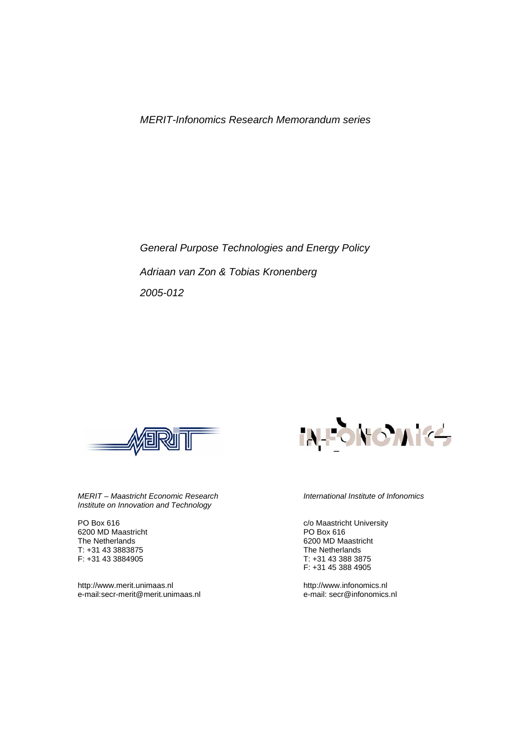*MERIT-Infonomics Research Memorandum series* 

*General Purpose Technologies and Energy Policy Adriaan van Zon & Tobias Kronenberg 2005-012* 



*MERIT – Maastricht Economic Research Institute on Innovation and Technology* 

PO Box 616 6200 MD Maastricht The Netherlands T: +31 43 3883875 F: +31 43 3884905

http://www.merit.unimaas.nl e-mail:secr-merit@merit.unimaas.nl



*International Institute of Infonomics* 

c/o Maastricht University PO Box 616 6200 MD Maastricht The Netherlands T: +31 43 388 3875 F: +31 45 388 4905

http://www.infonomics.nl e-mail: secr@infonomics.nl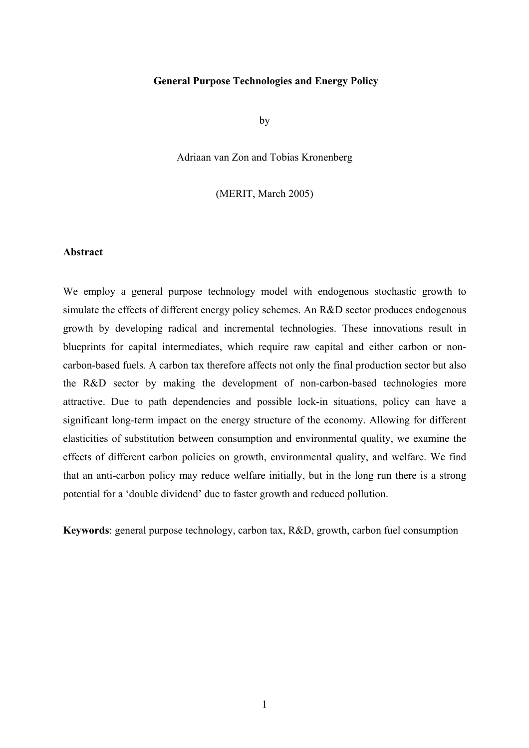## **General Purpose Technologies and Energy Policy**

by

Adriaan van Zon and Tobias Kronenberg

(MERIT, March 2005)

#### **Abstract**

We employ a general purpose technology model with endogenous stochastic growth to simulate the effects of different energy policy schemes. An R&D sector produces endogenous growth by developing radical and incremental technologies. These innovations result in blueprints for capital intermediates, which require raw capital and either carbon or noncarbon-based fuels. A carbon tax therefore affects not only the final production sector but also the R&D sector by making the development of non-carbon-based technologies more attractive. Due to path dependencies and possible lock-in situations, policy can have a significant long-term impact on the energy structure of the economy. Allowing for different elasticities of substitution between consumption and environmental quality, we examine the effects of different carbon policies on growth, environmental quality, and welfare. We find that an anti-carbon policy may reduce welfare initially, but in the long run there is a strong potential for a 'double dividend' due to faster growth and reduced pollution.

**Keywords**: general purpose technology, carbon tax, R&D, growth, carbon fuel consumption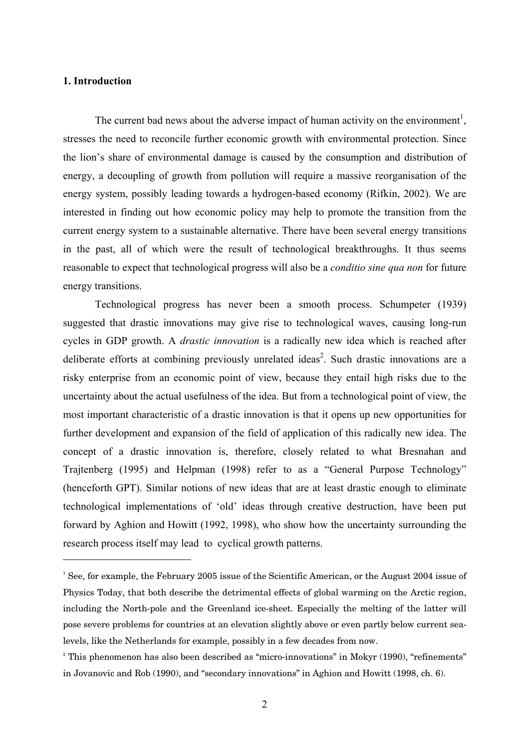## **1. Introduction**

 $\overline{a}$ 

The current bad news about the adverse impact of human activity on the environment<sup>1</sup>, stresses the need to reconcile further economic growth with environmental protection. Since the lion's share of environmental damage is caused by the consumption and distribution of energy, a decoupling of growth from pollution will require a massive reorganisation of the energy system, possibly leading towards a hydrogen-based economy (Rifkin, 2002). We are interested in finding out how economic policy may help to promote the transition from the current energy system to a sustainable alternative. There have been several energy transitions in the past, all of which were the result of technological breakthroughs. It thus seems reasonable to expect that technological progress will also be a *conditio sine qua non* for future energy transitions.

Technological progress has never been a smooth process. Schumpeter (1939) suggested that drastic innovations may give rise to technological waves, causing long-run cycles in GDP growth. A *drastic innovation* is a radically new idea which is reached after deliberate efforts at combining previously unrelated ideas<sup>2</sup>. Such drastic innovations are a risky enterprise from an economic point of view, because they entail high risks due to the uncertainty about the actual usefulness of the idea. But from a technological point of view, the most important characteristic of a drastic innovation is that it opens up new opportunities for further development and expansion of the field of application of this radically new idea. The concept of a drastic innovation is, therefore, closely related to what Bresnahan and Trajtenberg (1995) and Helpman (1998) refer to as a "General Purpose Technology" (henceforth GPT). Similar notions of new ideas that are at least drastic enough to eliminate technological implementations of 'old' ideas through creative destruction, have been put forward by Aghion and Howitt (1992, 1998), who show how the uncertainty surrounding the research process itself may lead to cyclical growth patterns.

<sup>&</sup>lt;sup>1</sup> See, for example, the February 2005 issue of the Scientific American, or the August 2004 issue of Physics Today, that both describe the detrimental effects of global warming on the Arctic region, including the North-pole and the Greenland ice-sheet. Especially the melting of the latter will pose severe problems for countries at an elevation slightly above or even partly below current sealevels, like the Netherlands for example, possibly in a few decades from now.

 $2^{\circ}$  This phenomenon has also been described as "micro-innovations" in Mokyr (1990), "refinements" in Jovanovic and Rob (1990), and "secondary innovations" in Aghion and Howitt (1998, ch. 6).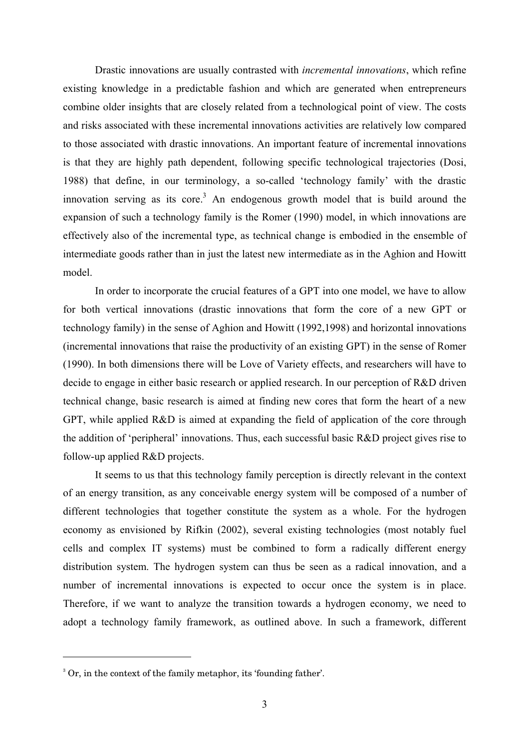Drastic innovations are usually contrasted with *incremental innovations*, which refine existing knowledge in a predictable fashion and which are generated when entrepreneurs combine older insights that are closely related from a technological point of view. The costs and risks associated with these incremental innovations activities are relatively low compared to those associated with drastic innovations. An important feature of incremental innovations is that they are highly path dependent, following specific technological trajectories (Dosi, 1988) that define, in our terminology, a so-called 'technology family' with the drastic innovation serving as its core.<sup>3</sup> An endogenous growth model that is build around the expansion of such a technology family is the Romer (1990) model, in which innovations are effectively also of the incremental type, as technical change is embodied in the ensemble of intermediate goods rather than in just the latest new intermediate as in the Aghion and Howitt model.

In order to incorporate the crucial features of a GPT into one model, we have to allow for both vertical innovations (drastic innovations that form the core of a new GPT or technology family) in the sense of Aghion and Howitt (1992,1998) and horizontal innovations (incremental innovations that raise the productivity of an existing GPT) in the sense of Romer (1990). In both dimensions there will be Love of Variety effects, and researchers will have to decide to engage in either basic research or applied research. In our perception of R&D driven technical change, basic research is aimed at finding new cores that form the heart of a new GPT, while applied R&D is aimed at expanding the field of application of the core through the addition of 'peripheral' innovations. Thus, each successful basic R&D project gives rise to follow-up applied R&D projects.

It seems to us that this technology family perception is directly relevant in the context of an energy transition, as any conceivable energy system will be composed of a number of different technologies that together constitute the system as a whole. For the hydrogen economy as envisioned by Rifkin (2002), several existing technologies (most notably fuel cells and complex IT systems) must be combined to form a radically different energy distribution system. The hydrogen system can thus be seen as a radical innovation, and a number of incremental innovations is expected to occur once the system is in place. Therefore, if we want to analyze the transition towards a hydrogen economy, we need to adopt a technology family framework, as outlined above. In such a framework, different

 $\overline{a}$ 

<sup>&</sup>lt;sup>3</sup> Or, in the context of the family metaphor, its 'founding father'.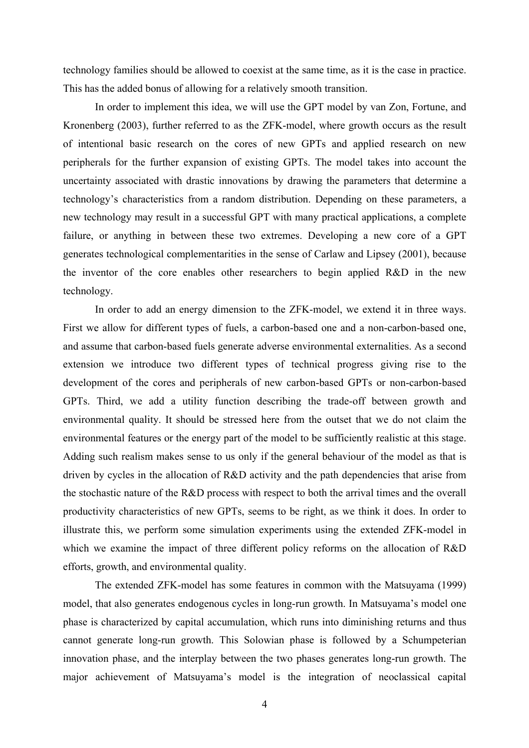technology families should be allowed to coexist at the same time, as it is the case in practice. This has the added bonus of allowing for a relatively smooth transition.

In order to implement this idea, we will use the GPT model by van Zon, Fortune, and Kronenberg (2003), further referred to as the ZFK-model, where growth occurs as the result of intentional basic research on the cores of new GPTs and applied research on new peripherals for the further expansion of existing GPTs. The model takes into account the uncertainty associated with drastic innovations by drawing the parameters that determine a technology's characteristics from a random distribution. Depending on these parameters, a new technology may result in a successful GPT with many practical applications, a complete failure, or anything in between these two extremes. Developing a new core of a GPT generates technological complementarities in the sense of Carlaw and Lipsey (2001), because the inventor of the core enables other researchers to begin applied R&D in the new technology.

In order to add an energy dimension to the ZFK-model, we extend it in three ways. First we allow for different types of fuels, a carbon-based one and a non-carbon-based one, and assume that carbon-based fuels generate adverse environmental externalities. As a second extension we introduce two different types of technical progress giving rise to the development of the cores and peripherals of new carbon-based GPTs or non-carbon-based GPTs. Third, we add a utility function describing the trade-off between growth and environmental quality. It should be stressed here from the outset that we do not claim the environmental features or the energy part of the model to be sufficiently realistic at this stage. Adding such realism makes sense to us only if the general behaviour of the model as that is driven by cycles in the allocation of R&D activity and the path dependencies that arise from the stochastic nature of the R&D process with respect to both the arrival times and the overall productivity characteristics of new GPTs, seems to be right, as we think it does. In order to illustrate this, we perform some simulation experiments using the extended ZFK-model in which we examine the impact of three different policy reforms on the allocation of R&D efforts, growth, and environmental quality.

The extended ZFK-model has some features in common with the Matsuyama (1999) model, that also generates endogenous cycles in long-run growth. In Matsuyama's model one phase is characterized by capital accumulation, which runs into diminishing returns and thus cannot generate long-run growth. This Solowian phase is followed by a Schumpeterian innovation phase, and the interplay between the two phases generates long-run growth. The major achievement of Matsuyama's model is the integration of neoclassical capital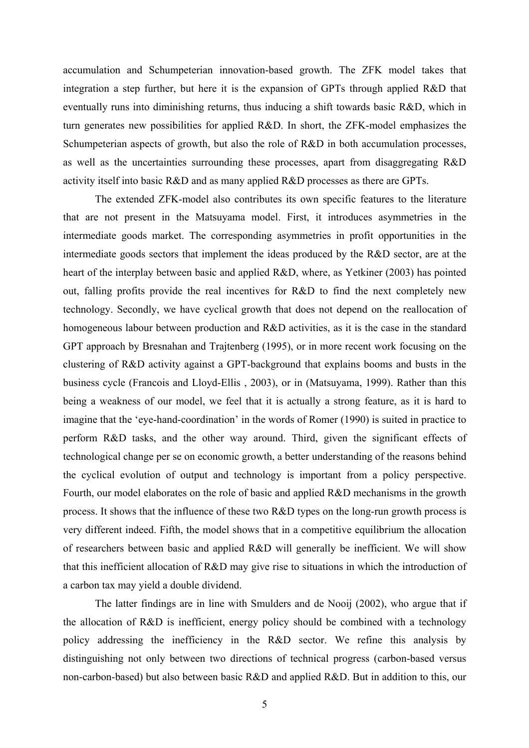accumulation and Schumpeterian innovation-based growth. The ZFK model takes that integration a step further, but here it is the expansion of GPTs through applied R&D that eventually runs into diminishing returns, thus inducing a shift towards basic R&D, which in turn generates new possibilities for applied R&D. In short, the ZFK-model emphasizes the Schumpeterian aspects of growth, but also the role of R&D in both accumulation processes, as well as the uncertainties surrounding these processes, apart from disaggregating R&D activity itself into basic R&D and as many applied R&D processes as there are GPTs.

The extended ZFK-model also contributes its own specific features to the literature that are not present in the Matsuyama model. First, it introduces asymmetries in the intermediate goods market. The corresponding asymmetries in profit opportunities in the intermediate goods sectors that implement the ideas produced by the R&D sector, are at the heart of the interplay between basic and applied R&D, where, as Yetkiner (2003) has pointed out, falling profits provide the real incentives for R&D to find the next completely new technology. Secondly, we have cyclical growth that does not depend on the reallocation of homogeneous labour between production and R&D activities, as it is the case in the standard GPT approach by Bresnahan and Trajtenberg (1995), or in more recent work focusing on the clustering of R&D activity against a GPT-background that explains booms and busts in the business cycle (Francois and Lloyd-Ellis , 2003), or in (Matsuyama, 1999). Rather than this being a weakness of our model, we feel that it is actually a strong feature, as it is hard to imagine that the 'eye-hand-coordination' in the words of Romer (1990) is suited in practice to perform R&D tasks, and the other way around. Third, given the significant effects of technological change per se on economic growth, a better understanding of the reasons behind the cyclical evolution of output and technology is important from a policy perspective. Fourth, our model elaborates on the role of basic and applied R&D mechanisms in the growth process. It shows that the influence of these two R&D types on the long-run growth process is very different indeed. Fifth, the model shows that in a competitive equilibrium the allocation of researchers between basic and applied R&D will generally be inefficient. We will show that this inefficient allocation of R&D may give rise to situations in which the introduction of a carbon tax may yield a double dividend.

The latter findings are in line with Smulders and de Nooij (2002), who argue that if the allocation of R&D is inefficient, energy policy should be combined with a technology policy addressing the inefficiency in the R&D sector. We refine this analysis by distinguishing not only between two directions of technical progress (carbon-based versus non-carbon-based) but also between basic R&D and applied R&D. But in addition to this, our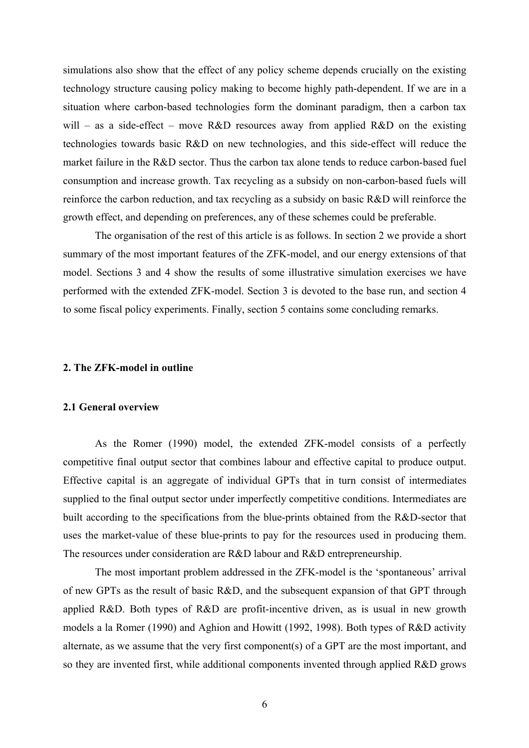simulations also show that the effect of any policy scheme depends crucially on the existing technology structure causing policy making to become highly path-dependent. If we are in a situation where carbon-based technologies form the dominant paradigm, then a carbon tax will – as a side-effect – move R&D resources away from applied R&D on the existing technologies towards basic R&D on new technologies, and this side-effect will reduce the market failure in the R&D sector. Thus the carbon tax alone tends to reduce carbon-based fuel consumption and increase growth. Tax recycling as a subsidy on non-carbon-based fuels will reinforce the carbon reduction, and tax recycling as a subsidy on basic R&D will reinforce the growth effect, and depending on preferences, any of these schemes could be preferable.

The organisation of the rest of this article is as follows. In section 2 we provide a short summary of the most important features of the ZFK-model, and our energy extensions of that model. Sections 3 and 4 show the results of some illustrative simulation exercises we have performed with the extended ZFK-model. Section 3 is devoted to the base run, and section 4 to some fiscal policy experiments. Finally, section 5 contains some concluding remarks.

# **2. The ZFK-model in outline**

#### **2.1 General overview**

As the Romer (1990) model, the extended ZFK-model consists of a perfectly competitive final output sector that combines labour and effective capital to produce output. Effective capital is an aggregate of individual GPTs that in turn consist of intermediates supplied to the final output sector under imperfectly competitive conditions. Intermediates are built according to the specifications from the blue-prints obtained from the R&D-sector that uses the market-value of these blue-prints to pay for the resources used in producing them. The resources under consideration are R&D labour and R&D entrepreneurship.

The most important problem addressed in the ZFK-model is the 'spontaneous' arrival of new GPTs as the result of basic R&D, and the subsequent expansion of that GPT through applied R&D. Both types of R&D are profit-incentive driven, as is usual in new growth models a la Romer (1990) and Aghion and Howitt (1992, 1998). Both types of R&D activity alternate, as we assume that the very first component(s) of a GPT are the most important, and so they are invented first, while additional components invented through applied R&D grows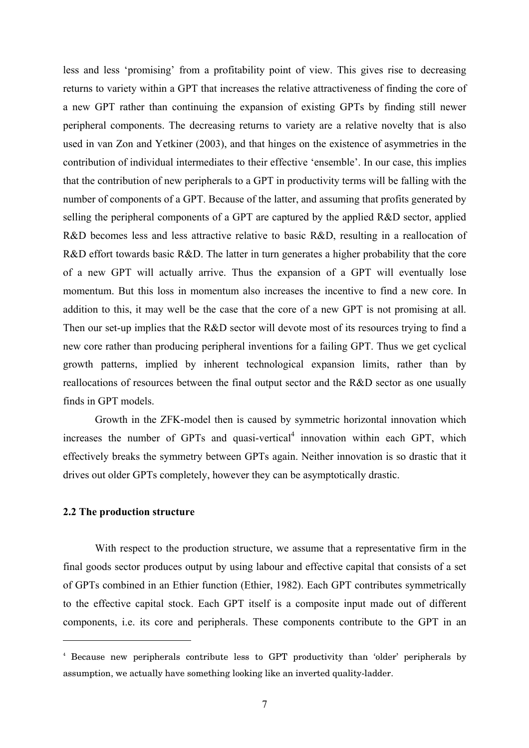less and less 'promising' from a profitability point of view. This gives rise to decreasing returns to variety within a GPT that increases the relative attractiveness of finding the core of a new GPT rather than continuing the expansion of existing GPTs by finding still newer peripheral components. The decreasing returns to variety are a relative novelty that is also used in van Zon and Yetkiner (2003), and that hinges on the existence of asymmetries in the contribution of individual intermediates to their effective 'ensemble'. In our case, this implies that the contribution of new peripherals to a GPT in productivity terms will be falling with the number of components of a GPT. Because of the latter, and assuming that profits generated by selling the peripheral components of a GPT are captured by the applied R&D sector, applied R&D becomes less and less attractive relative to basic R&D, resulting in a reallocation of R&D effort towards basic R&D. The latter in turn generates a higher probability that the core of a new GPT will actually arrive. Thus the expansion of a GPT will eventually lose momentum. But this loss in momentum also increases the incentive to find a new core. In addition to this, it may well be the case that the core of a new GPT is not promising at all. Then our set-up implies that the R&D sector will devote most of its resources trying to find a new core rather than producing peripheral inventions for a failing GPT. Thus we get cyclical growth patterns, implied by inherent technological expansion limits, rather than by reallocations of resources between the final output sector and the R&D sector as one usually finds in GPT models.

Growth in the ZFK-model then is caused by symmetric horizontal innovation which increases the number of GPTs and quasi-vertical<sup>4</sup> innovation within each GPT, which effectively breaks the symmetry between GPTs again. Neither innovation is so drastic that it drives out older GPTs completely, however they can be asymptotically drastic.

# **2.2 The production structure**

 $\overline{a}$ 

With respect to the production structure, we assume that a representative firm in the final goods sector produces output by using labour and effective capital that consists of a set of GPTs combined in an Ethier function (Ethier, 1982). Each GPT contributes symmetrically to the effective capital stock. Each GPT itself is a composite input made out of different components, i.e. its core and peripherals. These components contribute to the GPT in an

<sup>4</sup> Because new peripherals contribute less to GPT productivity than 'older' peripherals by assumption, we actually have something looking like an inverted quality-ladder.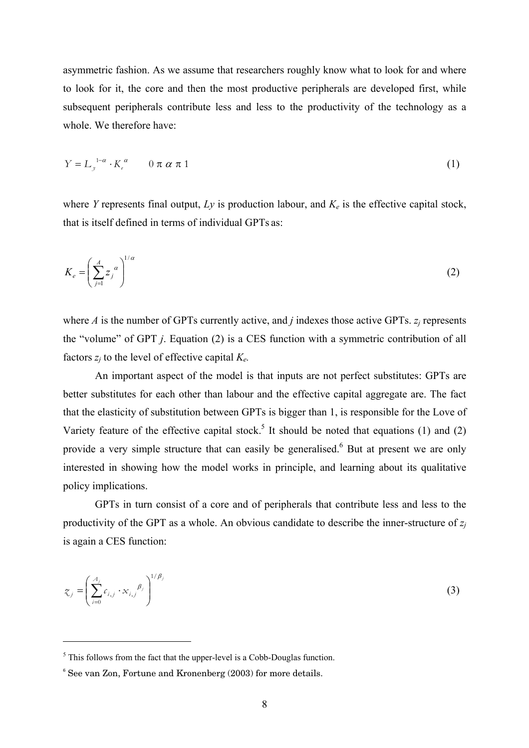asymmetric fashion. As we assume that researchers roughly know what to look for and where to look for it, the core and then the most productive peripherals are developed first, while subsequent peripherals contribute less and less to the productivity of the technology as a whole. We therefore have:

$$
Y = L_y^{1-\alpha} \cdot K_e^{\alpha} \qquad 0 \pi \alpha \pi 1 \tag{1}
$$

where *Y* represents final output,  $Ly$  is production labour, and  $K_e$  is the effective capital stock, that is itself defined in terms of individual GPTs as:

$$
K_e = \left(\sum_{j=1}^A z_j^{\alpha}\right)^{1/\alpha} \tag{2}
$$

where *A* is the number of GPTs currently active, and *j* indexes those active GPTs. *zj* represents the "volume" of GPT *j*. Equation (2) is a CES function with a symmetric contribution of all factors  $z_i$  to the level of effective capital  $K_e$ .

An important aspect of the model is that inputs are not perfect substitutes: GPTs are better substitutes for each other than labour and the effective capital aggregate are. The fact that the elasticity of substitution between GPTs is bigger than 1, is responsible for the Love of Variety feature of the effective capital stock.<sup>5</sup> It should be noted that equations (1) and (2) provide a very simple structure that can easily be generalised.<sup>6</sup> But at present we are only interested in showing how the model works in principle, and learning about its qualitative policy implications.

 GPTs in turn consist of a core and of peripherals that contribute less and less to the productivity of the GPT as a whole. An obvious candidate to describe the inner-structure of *zj* is again a CES function:

$$
\zeta_j = \left(\sum_{i=0}^{A_j} c_{i,j} \cdot x_{i,j}^{\beta_j}\right)^{1/\beta_j} \tag{3}
$$

 $\overline{a}$ 

 $<sup>5</sup>$  This follows from the fact that the upper-level is a Cobb-Douglas function.</sup>

<sup>6</sup> See van Zon, Fortune and Kronenberg (2003) for more details.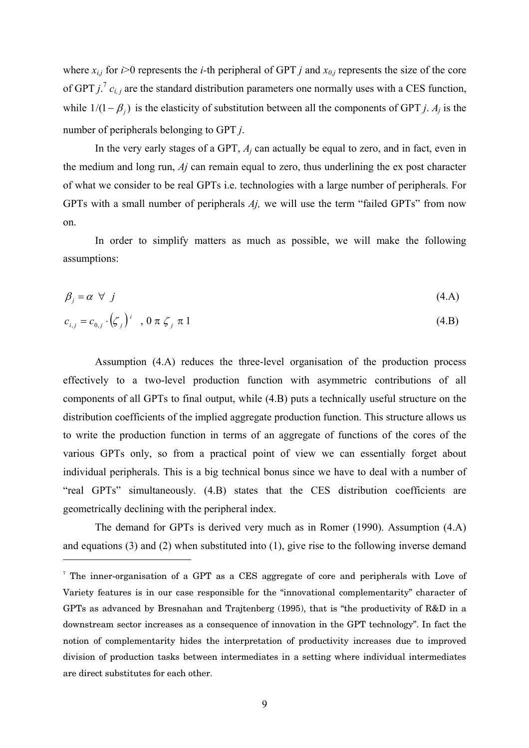where  $x_{i,j}$  for  $i>0$  represents the *i*-th peripheral of GPT *j* and  $x_{0,j}$  represents the size of the core of GPT  $j$ <sup>7</sup>.  $c_{i,j}$  are the standard distribution parameters one normally uses with a CES function, while  $1/(1 - \beta_i)$  is the elasticity of substitution between all the components of GPT *j*.  $A_i$  is the number of peripherals belonging to GPT *j*.

In the very early stages of a GPT, *Aj* can actually be equal to zero, and in fact, even in the medium and long run, *Aj* can remain equal to zero, thus underlining the ex post character of what we consider to be real GPTs i.e. technologies with a large number of peripherals. For GPTs with a small number of peripherals *Aj,* we will use the term "failed GPTs" from now on.

In order to simplify matters as much as possible, we will make the following assumptions:

$$
\beta_j = \alpha \ \forall \ j \tag{4.A}
$$

$$
c_{i,j} = c_{0,j} \cdot (\zeta_j)^i \quad , \quad 0 \pi \zeta_j \pi 1 \tag{4.B}
$$

Assumption (4.A) reduces the three-level organisation of the production process effectively to a two-level production function with asymmetric contributions of all components of all GPTs to final output, while (4.B) puts a technically useful structure on the distribution coefficients of the implied aggregate production function. This structure allows us to write the production function in terms of an aggregate of functions of the cores of the various GPTs only, so from a practical point of view we can essentially forget about individual peripherals. This is a big technical bonus since we have to deal with a number of "real GPTs" simultaneously. (4.B) states that the CES distribution coefficients are geometrically declining with the peripheral index.

The demand for GPTs is derived very much as in Romer (1990). Assumption (4.A) and equations (3) and (2) when substituted into (1), give rise to the following inverse demand

 $\overline{a}$ 

<sup>7</sup> The inner-organisation of a GPT as a CES aggregate of core and peripherals with Love of Variety features is in our case responsible for the "innovational complementarity" character of GPTs as advanced by Bresnahan and Trajtenberg (1995), that is "the productivity of R&D in a downstream sector increases as a consequence of innovation in the GPT technology". In fact the notion of complementarity hides the interpretation of productivity increases due to improved division of production tasks between intermediates in a setting where individual intermediates are direct substitutes for each other.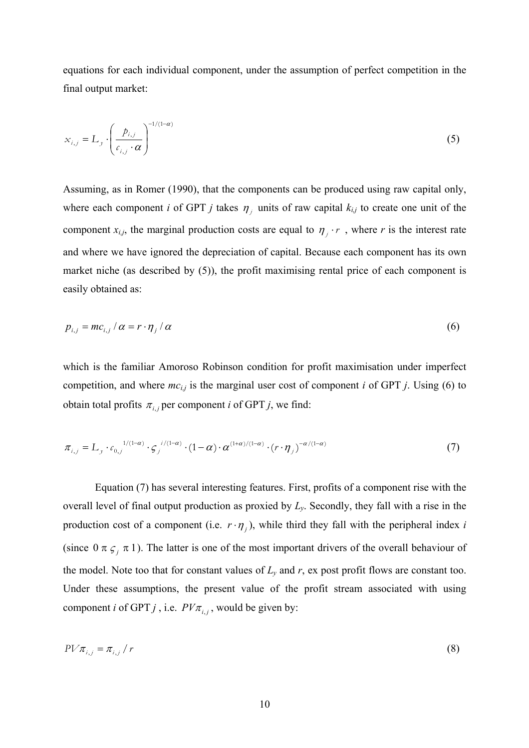equations for each individual component, under the assumption of perfect competition in the final output market:

$$
x_{i,j} = L_y \cdot \left(\frac{p_{i,j}}{c_{i,j} \cdot \alpha}\right)^{-1/(1-\alpha)}
$$
(5)

Assuming, as in Romer (1990), that the components can be produced using raw capital only, where each component *i* of GPT *j* takes  $\eta_i$  units of raw capital  $k_{i,j}$  to create one unit of the component  $x_{i,j}$ , the marginal production costs are equal to  $\eta_i \cdot r$ , where r is the interest rate and where we have ignored the depreciation of capital. Because each component has its own market niche (as described by (5)), the profit maximising rental price of each component is easily obtained as:

$$
p_{i,j} = mc_{i,j} / \alpha = r \cdot \eta_j / \alpha \tag{6}
$$

which is the familiar Amoroso Robinson condition for profit maximisation under imperfect competition, and where  $mc_{i,j}$  is the marginal user cost of component *i* of GPT *j*. Using (6) to obtain total profits  $\pi_{i,j}$  per component *i* of GPT *j*, we find:

$$
\pi_{i,j} = L_{j} \cdot c_{0,j}^{1/(1-\alpha)} \cdot \varsigma_{j}^{i/(1-\alpha)} \cdot (1-\alpha) \cdot \alpha^{(1+\alpha)/(1-\alpha)} \cdot (r \cdot \eta_{j})^{-\alpha/(1-\alpha)}
$$
(7)

Equation (7) has several interesting features. First, profits of a component rise with the overall level of final output production as proxied by *Ly*. Secondly, they fall with a rise in the production cost of a component (i.e.  $r \cdot \eta_i$ ), while third they fall with the peripheral index *i* (since  $0 \pi \zeta_i \pi 1$ ). The latter is one of the most important drivers of the overall behaviour of the model. Note too that for constant values of  $L<sub>v</sub>$  and  $r$ , ex post profit flows are constant too. Under these assumptions, the present value of the profit stream associated with using component *i* of GPT *j*, i.e.  $PV\pi_{i,j}$ , would be given by:

$$
PV\pi_{i,j} = \pi_{i,j}/r
$$
 (8)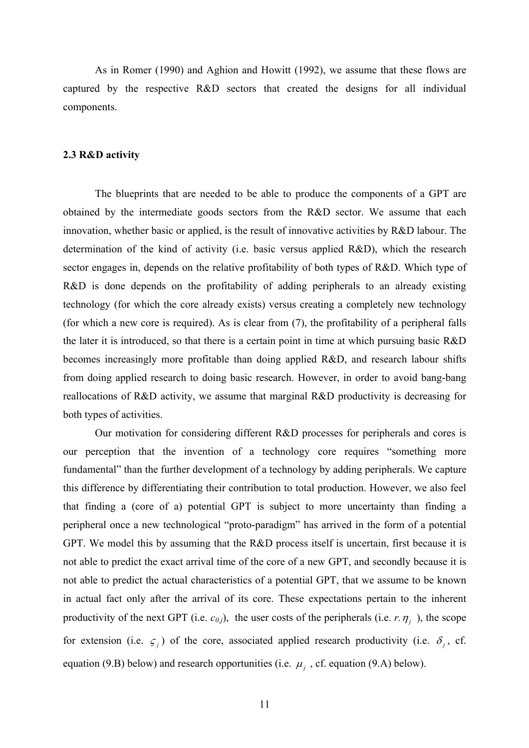As in Romer (1990) and Aghion and Howitt (1992), we assume that these flows are captured by the respective R&D sectors that created the designs for all individual components.

## **2.3 R&D activity**

The blueprints that are needed to be able to produce the components of a GPT are obtained by the intermediate goods sectors from the R&D sector. We assume that each innovation, whether basic or applied, is the result of innovative activities by R&D labour. The determination of the kind of activity (i.e. basic versus applied R&D), which the research sector engages in, depends on the relative profitability of both types of R&D. Which type of R&D is done depends on the profitability of adding peripherals to an already existing technology (for which the core already exists) versus creating a completely new technology (for which a new core is required). As is clear from (7), the profitability of a peripheral falls the later it is introduced, so that there is a certain point in time at which pursuing basic R&D becomes increasingly more profitable than doing applied R&D, and research labour shifts from doing applied research to doing basic research. However, in order to avoid bang-bang reallocations of R&D activity, we assume that marginal R&D productivity is decreasing for both types of activities.

Our motivation for considering different R&D processes for peripherals and cores is our perception that the invention of a technology core requires "something more fundamental" than the further development of a technology by adding peripherals. We capture this difference by differentiating their contribution to total production. However, we also feel that finding a (core of a) potential GPT is subject to more uncertainty than finding a peripheral once a new technological "proto-paradigm" has arrived in the form of a potential GPT. We model this by assuming that the R&D process itself is uncertain, first because it is not able to predict the exact arrival time of the core of a new GPT, and secondly because it is not able to predict the actual characteristics of a potential GPT, that we assume to be known in actual fact only after the arrival of its core. These expectations pertain to the inherent productivity of the next GPT (i.e.  $c_{0,j}$ ), the user costs of the peripherals (i.e. *r.*  $\eta_i$ ), the scope for extension (i.e.  $\zeta_i$ ) of the core, associated applied research productivity (i.e.  $\delta_i$ , cf. equation (9.B) below) and research opportunities (i.e.  $\mu_i$ , cf. equation (9.A) below).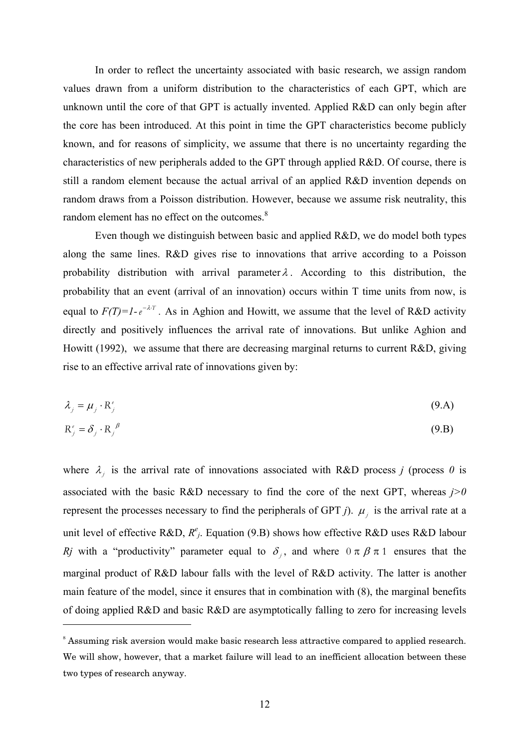In order to reflect the uncertainty associated with basic research, we assign random values drawn from a uniform distribution to the characteristics of each GPT, which are unknown until the core of that GPT is actually invented. Applied R&D can only begin after the core has been introduced. At this point in time the GPT characteristics become publicly known, and for reasons of simplicity, we assume that there is no uncertainty regarding the characteristics of new peripherals added to the GPT through applied R&D. Of course, there is still a random element because the actual arrival of an applied R&D invention depends on random draws from a Poisson distribution. However, because we assume risk neutrality, this random element has no effect on the outcomes.<sup>8</sup>

Even though we distinguish between basic and applied R&D, we do model both types along the same lines. R&D gives rise to innovations that arrive according to a Poisson probability distribution with arrival parameter  $\lambda$ . According to this distribution, the probability that an event (arrival of an innovation) occurs within T time units from now, is equal to  $F(T)=I-e^{-\lambda T}$ . As in Aghion and Howitt, we assume that the level of R&D activity directly and positively influences the arrival rate of innovations. But unlike Aghion and Howitt (1992), we assume that there are decreasing marginal returns to current R&D, giving rise to an effective arrival rate of innovations given by:

$$
\lambda_j = \mu_j \cdot \mathbf{R}_j^e \tag{9.A}
$$

$$
R_j^e = \delta_j \cdot R_j^{\ \beta} \tag{9.B}
$$

where  $\lambda_i$  is the arrival rate of innovations associated with R&D process *j* (process *0* is associated with the basic R&D necessary to find the core of the next GPT, whereas *j>0* represent the processes necessary to find the peripherals of GPT  $j$ ).  $\mu_i$  is the arrival rate at a unit level of effective R&D,  $R^e_j$ . Equation (9.B) shows how effective R&D uses R&D labour *Rj* with a "productivity" parameter equal to  $\delta$ , and where  $0 \pi \beta \pi 1$  ensures that the marginal product of R&D labour falls with the level of R&D activity. The latter is another main feature of the model, since it ensures that in combination with (8), the marginal benefits of doing applied R&D and basic R&D are asymptotically falling to zero for increasing levels

 $\overline{a}$ 

<sup>&</sup>lt;sup>8</sup> Assuming risk aversion would make basic research less attractive compared to applied research. We will show, however, that a market failure will lead to an inefficient allocation between these two types of research anyway.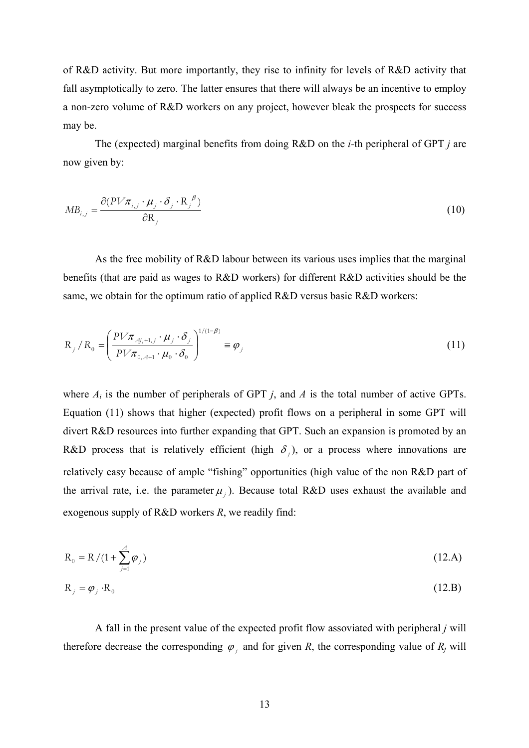of R&D activity. But more importantly, they rise to infinity for levels of R&D activity that fall asymptotically to zero. The latter ensures that there will always be an incentive to employ a non-zero volume of R&D workers on any project, however bleak the prospects for success may be.

The (expected) marginal benefits from doing R&D on the *i-*th peripheral of GPT *j* are now given by:

$$
MB_{i,j} = \frac{\partial (PV\pi_{i,j} \cdot \mu_j \cdot \delta_j \cdot R_j^{\beta})}{\partial R_j}
$$
(10)

As the free mobility of R&D labour between its various uses implies that the marginal benefits (that are paid as wages to R&D workers) for different R&D activities should be the same, we obtain for the optimum ratio of applied R&D versus basic R&D workers:

$$
R_j / R_0 = \left(\frac{P V \pi_{A_{j_i}+1,j} \cdot \mu_j \cdot \delta_j}{P V \pi_{0,A+1} \cdot \mu_0 \cdot \delta_0}\right)^{1/(1-\beta)} \equiv \varphi_j
$$
\n(11)

where  $A_i$  is the number of peripherals of GPT  $j$ , and  $A$  is the total number of active GPTs. Equation (11) shows that higher (expected) profit flows on a peripheral in some GPT will divert R&D resources into further expanding that GPT. Such an expansion is promoted by an R&D process that is relatively efficient (high  $\delta_i$ ), or a process where innovations are relatively easy because of ample "fishing" opportunities (high value of the non R&D part of the arrival rate, i.e. the parameter  $\mu_i$ ). Because total R&D uses exhaust the available and exogenous supply of R&D workers *R*, we readily find:

$$
R_0 = R/(1 + \sum_{j=1}^{A} \varphi_j)
$$
 (12.A)

$$
R_j = \varphi_j \cdot R_0 \tag{12.B}
$$

A fall in the present value of the expected profit flow assoviated with peripheral *j* will therefore decrease the corresponding  $\varphi_i$  and for given *R*, the corresponding value of  $R_i$  will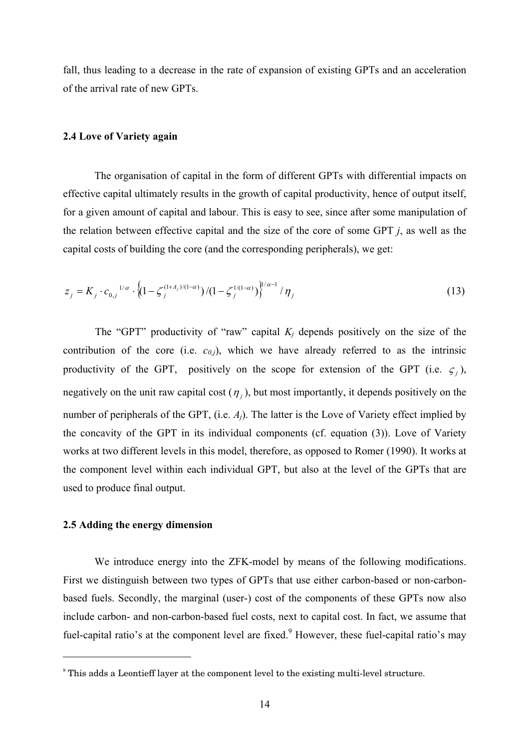fall, thus leading to a decrease in the rate of expansion of existing GPTs and an acceleration of the arrival rate of new GPTs.

## **2.4 Love of Variety again**

The organisation of capital in the form of different GPTs with differential impacts on effective capital ultimately results in the growth of capital productivity, hence of output itself, for a given amount of capital and labour. This is easy to see, since after some manipulation of the relation between effective capital and the size of the core of some GPT *j*, as well as the capital costs of building the core (and the corresponding peripherals), we get:

$$
z_j = K_j \cdot c_{0,j}^{1/\alpha} \cdot \left\{ (1 - \zeta_j^{(1+A_j)/(1-\alpha)}) / (1 - \zeta_j^{1/(1-\alpha)}) \right\}^{1/\alpha - 1} / \eta_j \tag{13}
$$

The "GPT" productivity of "raw" capital  $K_i$  depends positively on the size of the contribution of the core (i.e.  $c_{0,j}$ ), which we have already referred to as the intrinsic productivity of the GPT, positively on the scope for extension of the GPT (i.e.  $\zeta_i$ ), negatively on the unit raw capital cost  $(\eta_i)$ , but most importantly, it depends positively on the number of peripherals of the GPT, (i.e. *Aj*). The latter is the Love of Variety effect implied by the concavity of the GPT in its individual components (cf. equation (3)). Love of Variety works at two different levels in this model, therefore, as opposed to Romer (1990). It works at the component level within each individual GPT, but also at the level of the GPTs that are used to produce final output.

## **2.5 Adding the energy dimension**

 $\overline{a}$ 

We introduce energy into the ZFK-model by means of the following modifications. First we distinguish between two types of GPTs that use either carbon-based or non-carbonbased fuels. Secondly, the marginal (user-) cost of the components of these GPTs now also include carbon- and non-carbon-based fuel costs, next to capital cost. In fact, we assume that fuel-capital ratio's at the component level are fixed. <sup>9</sup> However, these fuel-capital ratio's may

<sup>9</sup> This adds a Leontieff layer at the component level to the existing multi-level structure.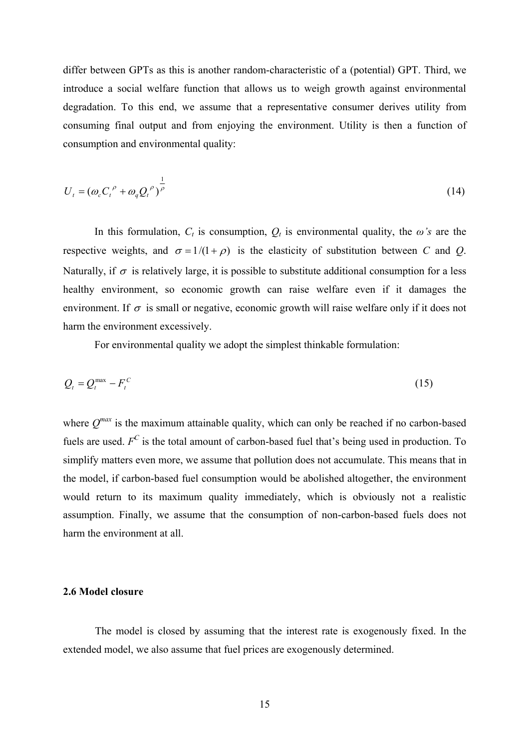differ between GPTs as this is another random-characteristic of a (potential) GPT. Third, we introduce a social welfare function that allows us to weigh growth against environmental degradation. To this end, we assume that a representative consumer derives utility from consuming final output and from enjoying the environment. Utility is then a function of consumption and environmental quality:

$$
U_t = \left(\omega_c C_t^{\ \rho} + \omega_q Q_t^{\ \rho}\right)^{\frac{1}{\rho}}
$$
\n(14)

In this formulation,  $C_t$  is consumption,  $Q_t$  is environmental quality, the  $\omega$ 's are the respective weights, and  $\sigma = 1/(1+\rho)$  is the elasticity of substitution between *C* and *Q*. Naturally, if  $\sigma$  is relatively large, it is possible to substitute additional consumption for a less healthy environment, so economic growth can raise welfare even if it damages the environment. If  $\sigma$  is small or negative, economic growth will raise welfare only if it does not harm the environment excessively.

For environmental quality we adopt the simplest thinkable formulation:

$$
Q_t = Q_t^{\max} - F_t^C \tag{15}
$$

where  $Q^{max}$  is the maximum attainable quality, which can only be reached if no carbon-based fuels are used.  $F^C$  is the total amount of carbon-based fuel that's being used in production. To simplify matters even more, we assume that pollution does not accumulate. This means that in the model, if carbon-based fuel consumption would be abolished altogether, the environment would return to its maximum quality immediately, which is obviously not a realistic assumption. Finally, we assume that the consumption of non-carbon-based fuels does not harm the environment at all.

## **2.6 Model closure**

The model is closed by assuming that the interest rate is exogenously fixed. In the extended model, we also assume that fuel prices are exogenously determined.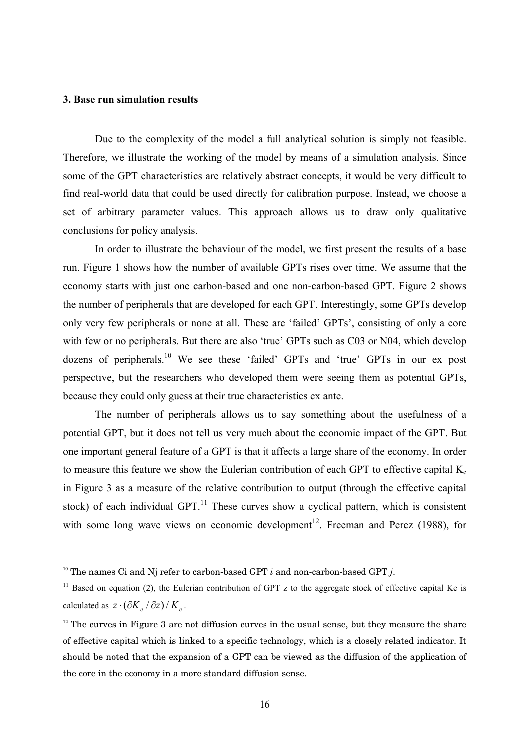#### **3. Base run simulation results**

 $\overline{a}$ 

Due to the complexity of the model a full analytical solution is simply not feasible. Therefore, we illustrate the working of the model by means of a simulation analysis. Since some of the GPT characteristics are relatively abstract concepts, it would be very difficult to find real-world data that could be used directly for calibration purpose. Instead, we choose a set of arbitrary parameter values. This approach allows us to draw only qualitative conclusions for policy analysis.

In order to illustrate the behaviour of the model, we first present the results of a base run. Figure 1 shows how the number of available GPTs rises over time. We assume that the economy starts with just one carbon-based and one non-carbon-based GPT. Figure 2 shows the number of peripherals that are developed for each GPT. Interestingly, some GPTs develop only very few peripherals or none at all. These are 'failed' GPTs', consisting of only a core with few or no peripherals. But there are also 'true' GPTs such as C03 or N04, which develop dozens of peripherals.10 We see these 'failed' GPTs and 'true' GPTs in our ex post perspective, but the researchers who developed them were seeing them as potential GPTs, because they could only guess at their true characteristics ex ante.

The number of peripherals allows us to say something about the usefulness of a potential GPT, but it does not tell us very much about the economic impact of the GPT. But one important general feature of a GPT is that it affects a large share of the economy. In order to measure this feature we show the Eulerian contribution of each GPT to effective capital  $K_e$ in Figure 3 as a measure of the relative contribution to output (through the effective capital stock) of each individual GPT. $<sup>11</sup>$  These curves show a cyclical pattern, which is consistent</sup> with some long wave views on economic development<sup>12</sup>. Freeman and Perez (1988), for

<sup>&</sup>lt;sup>10</sup> The names Ci and Nj refer to carbon-based GPT  $i$  and non-carbon-based GPT  $j$ .

<sup>&</sup>lt;sup>11</sup> Based on equation (2), the Eulerian contribution of GPT z to the aggregate stock of effective capital Ke is calculated as  $z \cdot (\partial K_e / \partial z) / K_e$ .

 $12$  The curves in Figure 3 are not diffusion curves in the usual sense, but they measure the share of effective capital which is linked to a specific technology, which is a closely related indicator. It should be noted that the expansion of a GPT can be viewed as the diffusion of the application of the core in the economy in a more standard diffusion sense.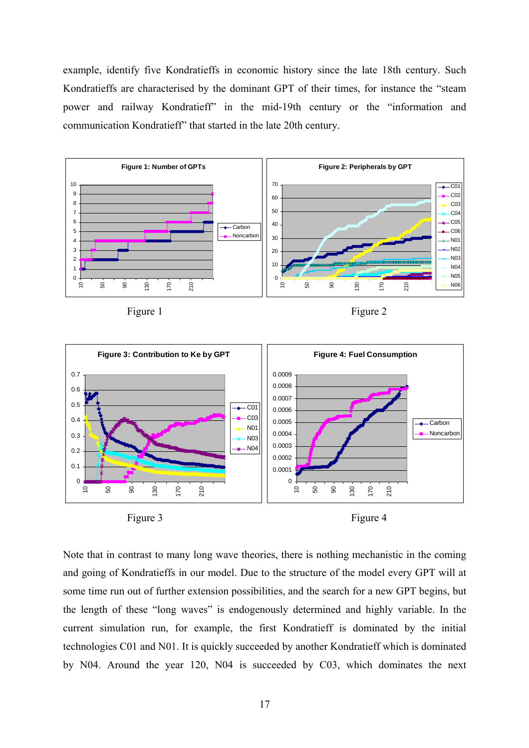example, identify five Kondratieffs in economic history since the late 18th century. Such Kondratieffs are characterised by the dominant GPT of their times, for instance the "steam power and railway Kondratieff" in the mid-19th century or the "information and communication Kondratieff" that started in the late 20th century.







Figure 3 Figure 4

Note that in contrast to many long wave theories, there is nothing mechanistic in the coming and going of Kondratieffs in our model. Due to the structure of the model every GPT will at some time run out of further extension possibilities, and the search for a new GPT begins, but the length of these "long waves" is endogenously determined and highly variable. In the current simulation run, for example, the first Kondratieff is dominated by the initial technologies C01 and N01. It is quickly succeeded by another Kondratieff which is dominated by N04. Around the year 120, N04 is succeeded by C03, which dominates the next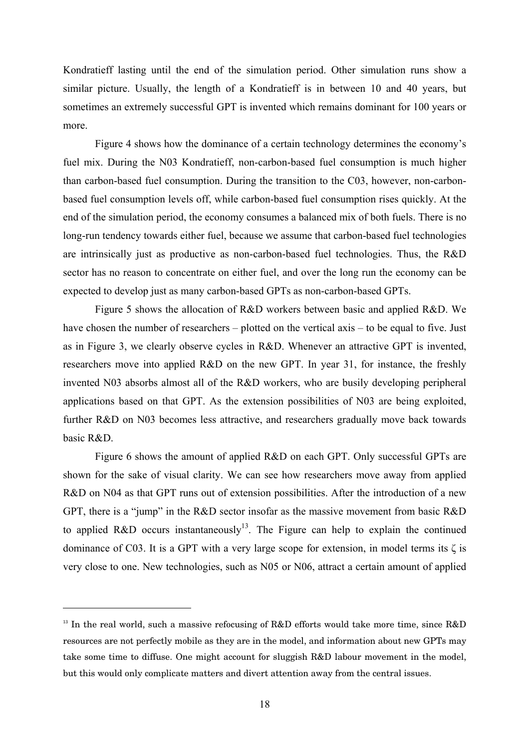Kondratieff lasting until the end of the simulation period. Other simulation runs show a similar picture. Usually, the length of a Kondratieff is in between 10 and 40 years, but sometimes an extremely successful GPT is invented which remains dominant for 100 years or more.

Figure 4 shows how the dominance of a certain technology determines the economy's fuel mix. During the N03 Kondratieff, non-carbon-based fuel consumption is much higher than carbon-based fuel consumption. During the transition to the C03, however, non-carbonbased fuel consumption levels off, while carbon-based fuel consumption rises quickly. At the end of the simulation period, the economy consumes a balanced mix of both fuels. There is no long-run tendency towards either fuel, because we assume that carbon-based fuel technologies are intrinsically just as productive as non-carbon-based fuel technologies. Thus, the R&D sector has no reason to concentrate on either fuel, and over the long run the economy can be expected to develop just as many carbon-based GPTs as non-carbon-based GPTs.

Figure 5 shows the allocation of R&D workers between basic and applied R&D. We have chosen the number of researchers – plotted on the vertical axis – to be equal to five. Just as in Figure 3, we clearly observe cycles in R&D. Whenever an attractive GPT is invented, researchers move into applied R&D on the new GPT. In year 31, for instance, the freshly invented N03 absorbs almost all of the R&D workers, who are busily developing peripheral applications based on that GPT. As the extension possibilities of N03 are being exploited, further R&D on N03 becomes less attractive, and researchers gradually move back towards basic R&D.

Figure 6 shows the amount of applied R&D on each GPT. Only successful GPTs are shown for the sake of visual clarity. We can see how researchers move away from applied R&D on N04 as that GPT runs out of extension possibilities. After the introduction of a new GPT, there is a "jump" in the R&D sector insofar as the massive movement from basic R&D to applied R&D occurs instantaneously<sup>13</sup>. The Figure can help to explain the continued dominance of C03. It is a GPT with a very large scope for extension, in model terms its ζ is very close to one. New technologies, such as N05 or N06, attract a certain amount of applied

 $\overline{a}$ 

 $13$  In the real world, such a massive refocusing of R&D efforts would take more time, since R&D resources are not perfectly mobile as they are in the model, and information about new GPTs may take some time to diffuse. One might account for sluggish R&D labour movement in the model, but this would only complicate matters and divert attention away from the central issues.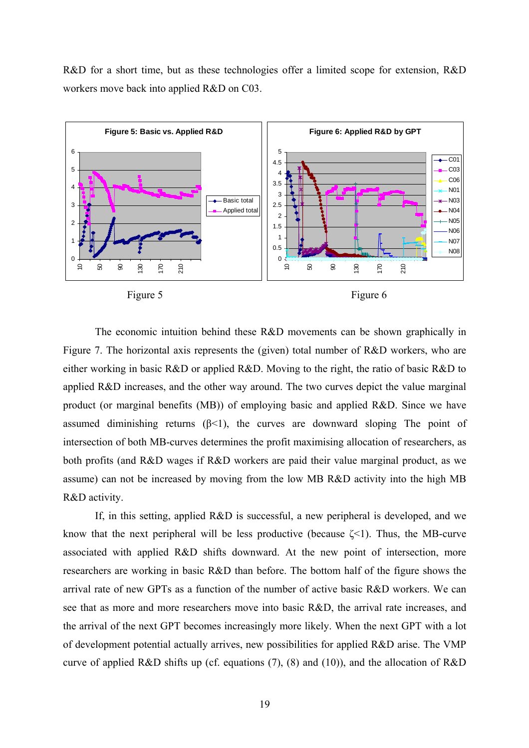R&D for a short time, but as these technologies offer a limited scope for extension, R&D workers move back into applied R&D on C03.



The economic intuition behind these R&D movements can be shown graphically in Figure 7. The horizontal axis represents the (given) total number of R&D workers, who are either working in basic R&D or applied R&D. Moving to the right, the ratio of basic R&D to applied R&D increases, and the other way around. The two curves depict the value marginal product (or marginal benefits (MB)) of employing basic and applied R&D. Since we have assumed diminishing returns  $(\beta < 1)$ , the curves are downward sloping The point of intersection of both MB-curves determines the profit maximising allocation of researchers, as both profits (and R&D wages if R&D workers are paid their value marginal product, as we assume) can not be increased by moving from the low MB R&D activity into the high MB R&D activity.

If, in this setting, applied R&D is successful, a new peripheral is developed, and we know that the next peripheral will be less productive (because  $\zeta$ <1). Thus, the MB-curve associated with applied R&D shifts downward. At the new point of intersection, more researchers are working in basic R&D than before. The bottom half of the figure shows the arrival rate of new GPTs as a function of the number of active basic R&D workers. We can see that as more and more researchers move into basic R&D, the arrival rate increases, and the arrival of the next GPT becomes increasingly more likely. When the next GPT with a lot of development potential actually arrives, new possibilities for applied R&D arise. The VMP curve of applied R&D shifts up (cf. equations (7), (8) and (10)), and the allocation of R&D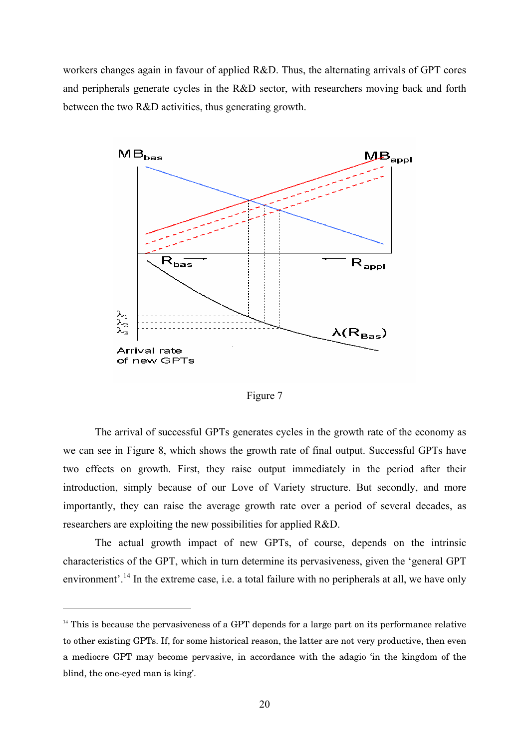workers changes again in favour of applied R&D. Thus, the alternating arrivals of GPT cores and peripherals generate cycles in the R&D sector, with researchers moving back and forth between the two R&D activities, thus generating growth.



Figure 7

The arrival of successful GPTs generates cycles in the growth rate of the economy as we can see in Figure 8, which shows the growth rate of final output. Successful GPTs have two effects on growth. First, they raise output immediately in the period after their introduction, simply because of our Love of Variety structure. But secondly, and more importantly, they can raise the average growth rate over a period of several decades, as researchers are exploiting the new possibilities for applied R&D.

The actual growth impact of new GPTs, of course, depends on the intrinsic characteristics of the GPT, which in turn determine its pervasiveness, given the 'general GPT environment'.<sup>14</sup> In the extreme case, i.e. a total failure with no peripherals at all, we have only

 $\overline{a}$ 

 $14$  This is because the pervasiveness of a GPT depends for a large part on its performance relative to other existing GPTs. If, for some historical reason, the latter are not very productive, then even a mediocre GPT may become pervasive, in accordance with the adagio 'in the kingdom of the blind, the one-eyed man is king'.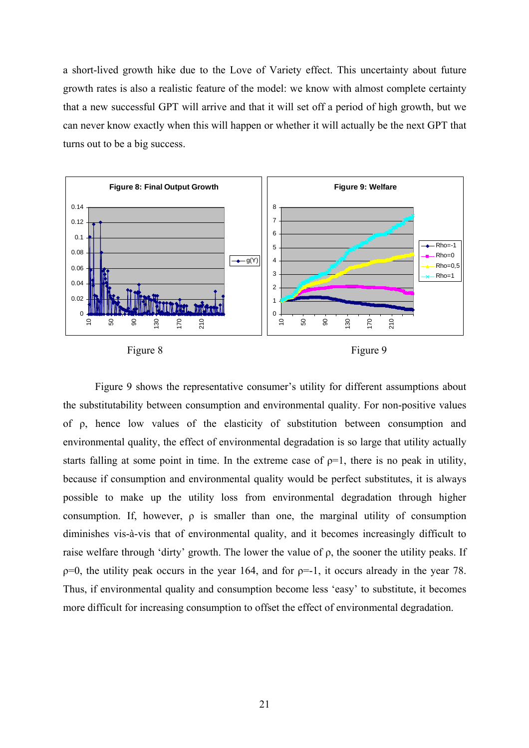a short-lived growth hike due to the Love of Variety effect. This uncertainty about future growth rates is also a realistic feature of the model: we know with almost complete certainty that a new successful GPT will arrive and that it will set off a period of high growth, but we can never know exactly when this will happen or whether it will actually be the next GPT that turns out to be a big success.



Figure 9 shows the representative consumer's utility for different assumptions about the substitutability between consumption and environmental quality. For non-positive values of ρ, hence low values of the elasticity of substitution between consumption and environmental quality, the effect of environmental degradation is so large that utility actually starts falling at some point in time. In the extreme case of  $p=1$ , there is no peak in utility, because if consumption and environmental quality would be perfect substitutes, it is always possible to make up the utility loss from environmental degradation through higher consumption. If, however, ρ is smaller than one, the marginal utility of consumption diminishes vis-à-vis that of environmental quality, and it becomes increasingly difficult to raise welfare through 'dirty' growth. The lower the value of  $\rho$ , the sooner the utility peaks. If  $p=0$ , the utility peak occurs in the year 164, and for  $p=-1$ , it occurs already in the year 78. Thus, if environmental quality and consumption become less 'easy' to substitute, it becomes more difficult for increasing consumption to offset the effect of environmental degradation.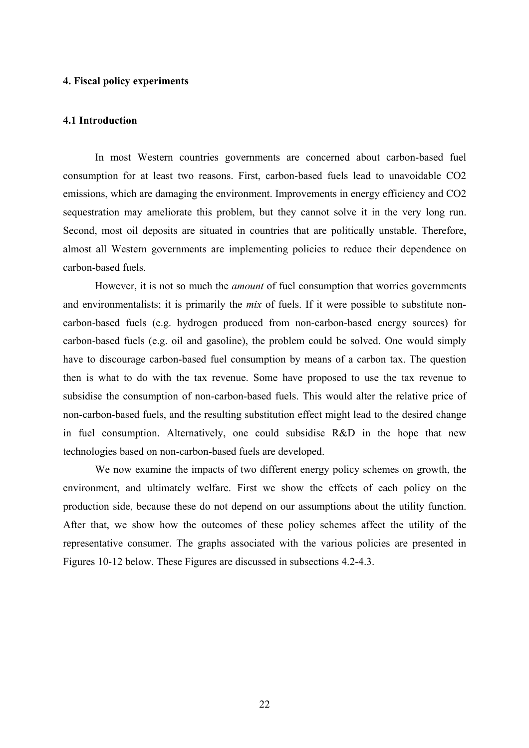## **4. Fiscal policy experiments**

## **4.1 Introduction**

In most Western countries governments are concerned about carbon-based fuel consumption for at least two reasons. First, carbon-based fuels lead to unavoidable CO2 emissions, which are damaging the environment. Improvements in energy efficiency and CO2 sequestration may ameliorate this problem, but they cannot solve it in the very long run. Second, most oil deposits are situated in countries that are politically unstable. Therefore, almost all Western governments are implementing policies to reduce their dependence on carbon-based fuels.

However, it is not so much the *amount* of fuel consumption that worries governments and environmentalists; it is primarily the *mix* of fuels. If it were possible to substitute noncarbon-based fuels (e.g. hydrogen produced from non-carbon-based energy sources) for carbon-based fuels (e.g. oil and gasoline), the problem could be solved. One would simply have to discourage carbon-based fuel consumption by means of a carbon tax. The question then is what to do with the tax revenue. Some have proposed to use the tax revenue to subsidise the consumption of non-carbon-based fuels. This would alter the relative price of non-carbon-based fuels, and the resulting substitution effect might lead to the desired change in fuel consumption. Alternatively, one could subsidise R&D in the hope that new technologies based on non-carbon-based fuels are developed.

We now examine the impacts of two different energy policy schemes on growth, the environment, and ultimately welfare. First we show the effects of each policy on the production side, because these do not depend on our assumptions about the utility function. After that, we show how the outcomes of these policy schemes affect the utility of the representative consumer. The graphs associated with the various policies are presented in Figures 10-12 below. These Figures are discussed in subsections 4.2-4.3.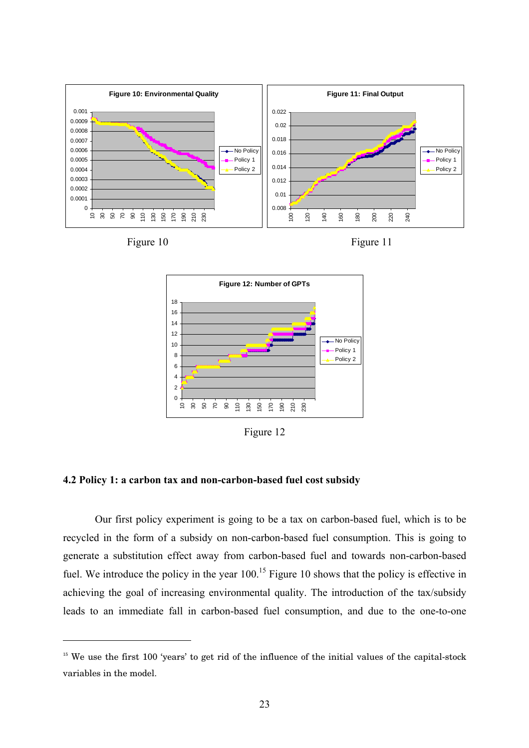

 $\overline{a}$ 

Figure 10 Figure 11



Figure 12

# **4.2 Policy 1: a carbon tax and non-carbon-based fuel cost subsidy**

Our first policy experiment is going to be a tax on carbon-based fuel, which is to be recycled in the form of a subsidy on non-carbon-based fuel consumption. This is going to generate a substitution effect away from carbon-based fuel and towards non-carbon-based fuel. We introduce the policy in the year  $100<sup>15</sup>$  Figure 10 shows that the policy is effective in achieving the goal of increasing environmental quality. The introduction of the tax/subsidy leads to an immediate fall in carbon-based fuel consumption, and due to the one-to-one

 $15$  We use the first 100 'years' to get rid of the influence of the initial values of the capital-stock variables in the model.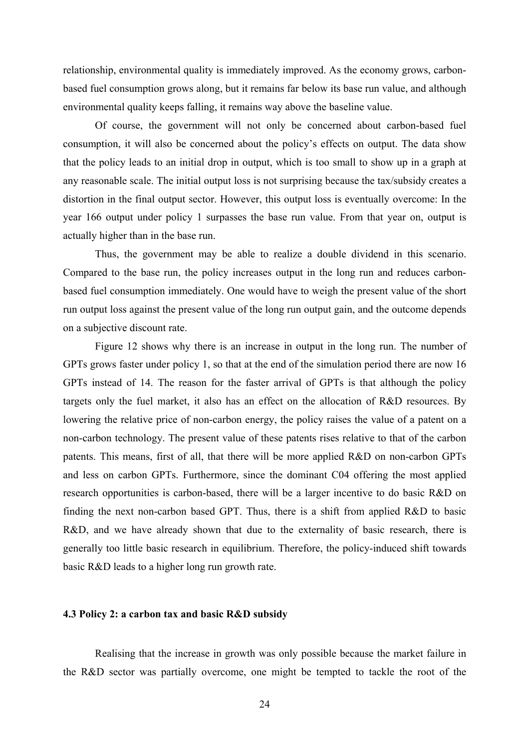relationship, environmental quality is immediately improved. As the economy grows, carbonbased fuel consumption grows along, but it remains far below its base run value, and although environmental quality keeps falling, it remains way above the baseline value.

Of course, the government will not only be concerned about carbon-based fuel consumption, it will also be concerned about the policy's effects on output. The data show that the policy leads to an initial drop in output, which is too small to show up in a graph at any reasonable scale. The initial output loss is not surprising because the tax/subsidy creates a distortion in the final output sector. However, this output loss is eventually overcome: In the year 166 output under policy 1 surpasses the base run value. From that year on, output is actually higher than in the base run.

Thus, the government may be able to realize a double dividend in this scenario. Compared to the base run, the policy increases output in the long run and reduces carbonbased fuel consumption immediately. One would have to weigh the present value of the short run output loss against the present value of the long run output gain, and the outcome depends on a subjective discount rate.

Figure 12 shows why there is an increase in output in the long run. The number of GPTs grows faster under policy 1, so that at the end of the simulation period there are now 16 GPTs instead of 14. The reason for the faster arrival of GPTs is that although the policy targets only the fuel market, it also has an effect on the allocation of R&D resources. By lowering the relative price of non-carbon energy, the policy raises the value of a patent on a non-carbon technology. The present value of these patents rises relative to that of the carbon patents. This means, first of all, that there will be more applied R&D on non-carbon GPTs and less on carbon GPTs. Furthermore, since the dominant C04 offering the most applied research opportunities is carbon-based, there will be a larger incentive to do basic R&D on finding the next non-carbon based GPT. Thus, there is a shift from applied R&D to basic R&D, and we have already shown that due to the externality of basic research, there is generally too little basic research in equilibrium. Therefore, the policy-induced shift towards basic R&D leads to a higher long run growth rate.

## **4.3 Policy 2: a carbon tax and basic R&D subsidy**

Realising that the increase in growth was only possible because the market failure in the R&D sector was partially overcome, one might be tempted to tackle the root of the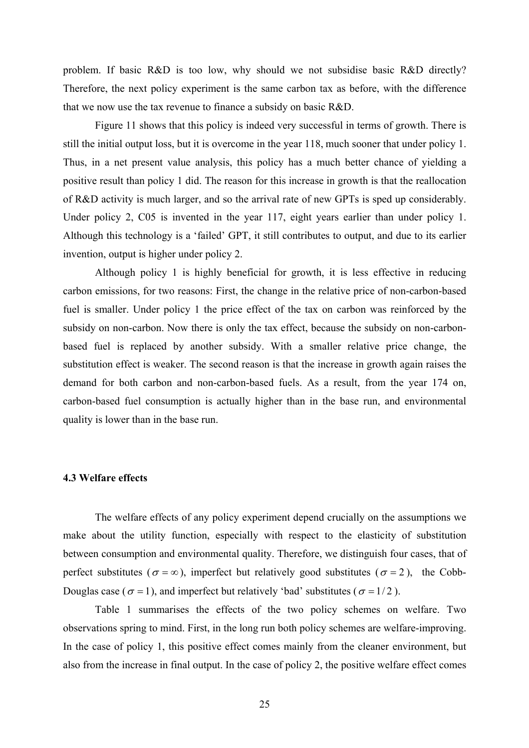problem. If basic R&D is too low, why should we not subsidise basic R&D directly? Therefore, the next policy experiment is the same carbon tax as before, with the difference that we now use the tax revenue to finance a subsidy on basic R&D.

Figure 11 shows that this policy is indeed very successful in terms of growth. There is still the initial output loss, but it is overcome in the year 118, much sooner that under policy 1. Thus, in a net present value analysis, this policy has a much better chance of yielding a positive result than policy 1 did. The reason for this increase in growth is that the reallocation of R&D activity is much larger, and so the arrival rate of new GPTs is sped up considerably. Under policy 2, C05 is invented in the year 117, eight years earlier than under policy 1. Although this technology is a 'failed' GPT, it still contributes to output, and due to its earlier invention, output is higher under policy 2.

Although policy 1 is highly beneficial for growth, it is less effective in reducing carbon emissions, for two reasons: First, the change in the relative price of non-carbon-based fuel is smaller. Under policy 1 the price effect of the tax on carbon was reinforced by the subsidy on non-carbon. Now there is only the tax effect, because the subsidy on non-carbonbased fuel is replaced by another subsidy. With a smaller relative price change, the substitution effect is weaker. The second reason is that the increase in growth again raises the demand for both carbon and non-carbon-based fuels. As a result, from the year 174 on, carbon-based fuel consumption is actually higher than in the base run, and environmental quality is lower than in the base run.

## **4.3 Welfare effects**

The welfare effects of any policy experiment depend crucially on the assumptions we make about the utility function, especially with respect to the elasticity of substitution between consumption and environmental quality. Therefore, we distinguish four cases, that of perfect substitutes ( $\sigma = \infty$ ), imperfect but relatively good substitutes ( $\sigma = 2$ ), the Cobb-Douglas case ( $\sigma = 1$ ), and imperfect but relatively 'bad' substitutes ( $\sigma = 1/2$ ).

Table 1 summarises the effects of the two policy schemes on welfare. Two observations spring to mind. First, in the long run both policy schemes are welfare-improving. In the case of policy 1, this positive effect comes mainly from the cleaner environment, but also from the increase in final output. In the case of policy 2, the positive welfare effect comes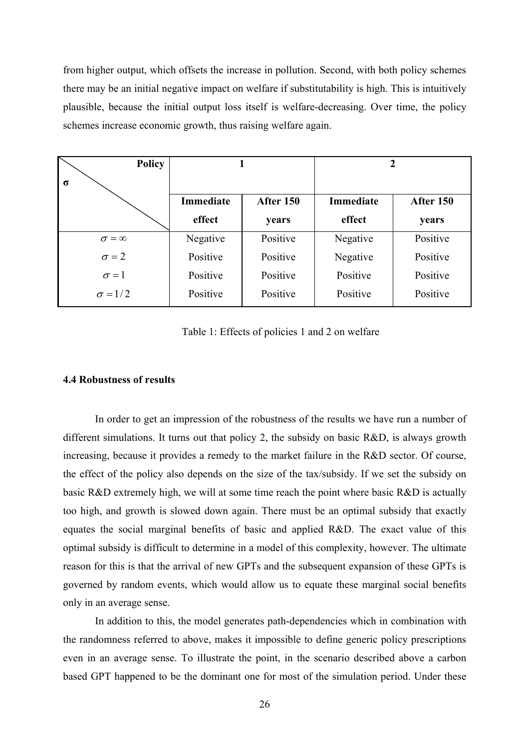from higher output, which offsets the increase in pollution. Second, with both policy schemes there may be an initial negative impact on welfare if substitutability is high. This is intuitively plausible, because the initial output loss itself is welfare-decreasing. Over time, the policy schemes increase economic growth, thus raising welfare again.

| <b>Policy</b>     |                  |           | $\mathbf 2$      |           |
|-------------------|------------------|-----------|------------------|-----------|
| $\sigma$          |                  |           |                  |           |
|                   | <b>Immediate</b> | After 150 | <b>Immediate</b> | After 150 |
|                   | effect           | years     | effect           | years     |
| $\sigma = \infty$ | Negative         | Positive  | Negative         | Positive  |
| $\sigma = 2$      | Positive         | Positive  | Negative         | Positive  |
| $\sigma = 1$      | Positive         | Positive  | Positive         | Positive  |
| $\sigma = 1/2$    | Positive         | Positive  | Positive         | Positive  |

Table 1: Effects of policies 1 and 2 on welfare

#### **4.4 Robustness of results**

In order to get an impression of the robustness of the results we have run a number of different simulations. It turns out that policy 2, the subsidy on basic R&D, is always growth increasing, because it provides a remedy to the market failure in the R&D sector. Of course, the effect of the policy also depends on the size of the tax/subsidy. If we set the subsidy on basic R&D extremely high, we will at some time reach the point where basic R&D is actually too high, and growth is slowed down again. There must be an optimal subsidy that exactly equates the social marginal benefits of basic and applied R&D. The exact value of this optimal subsidy is difficult to determine in a model of this complexity, however. The ultimate reason for this is that the arrival of new GPTs and the subsequent expansion of these GPTs is governed by random events, which would allow us to equate these marginal social benefits only in an average sense.

In addition to this, the model generates path-dependencies which in combination with the randomness referred to above, makes it impossible to define generic policy prescriptions even in an average sense. To illustrate the point, in the scenario described above a carbon based GPT happened to be the dominant one for most of the simulation period. Under these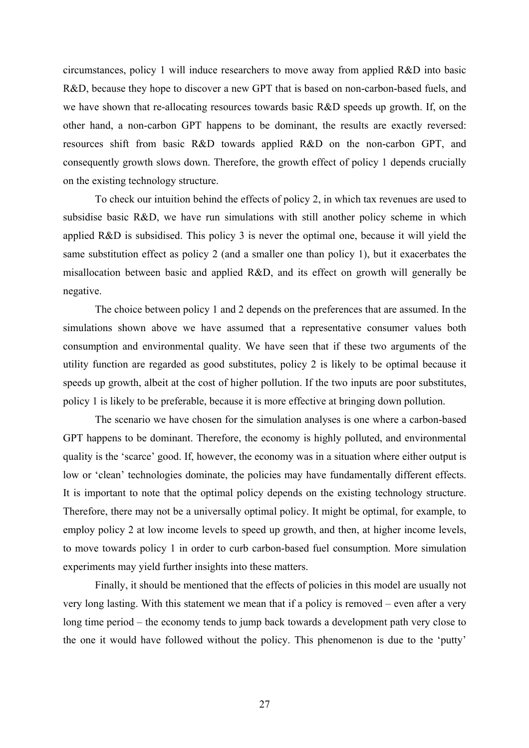circumstances, policy 1 will induce researchers to move away from applied R&D into basic R&D, because they hope to discover a new GPT that is based on non-carbon-based fuels, and we have shown that re-allocating resources towards basic R&D speeds up growth. If, on the other hand, a non-carbon GPT happens to be dominant, the results are exactly reversed: resources shift from basic R&D towards applied R&D on the non-carbon GPT, and consequently growth slows down. Therefore, the growth effect of policy 1 depends crucially on the existing technology structure.

To check our intuition behind the effects of policy 2, in which tax revenues are used to subsidise basic R&D, we have run simulations with still another policy scheme in which applied R&D is subsidised. This policy 3 is never the optimal one, because it will yield the same substitution effect as policy 2 (and a smaller one than policy 1), but it exacerbates the misallocation between basic and applied R&D, and its effect on growth will generally be negative.

The choice between policy 1 and 2 depends on the preferences that are assumed. In the simulations shown above we have assumed that a representative consumer values both consumption and environmental quality. We have seen that if these two arguments of the utility function are regarded as good substitutes, policy 2 is likely to be optimal because it speeds up growth, albeit at the cost of higher pollution. If the two inputs are poor substitutes, policy 1 is likely to be preferable, because it is more effective at bringing down pollution.

The scenario we have chosen for the simulation analyses is one where a carbon-based GPT happens to be dominant. Therefore, the economy is highly polluted, and environmental quality is the 'scarce' good. If, however, the economy was in a situation where either output is low or 'clean' technologies dominate, the policies may have fundamentally different effects. It is important to note that the optimal policy depends on the existing technology structure. Therefore, there may not be a universally optimal policy. It might be optimal, for example, to employ policy 2 at low income levels to speed up growth, and then, at higher income levels, to move towards policy 1 in order to curb carbon-based fuel consumption. More simulation experiments may yield further insights into these matters.

Finally, it should be mentioned that the effects of policies in this model are usually not very long lasting. With this statement we mean that if a policy is removed – even after a very long time period – the economy tends to jump back towards a development path very close to the one it would have followed without the policy. This phenomenon is due to the 'putty'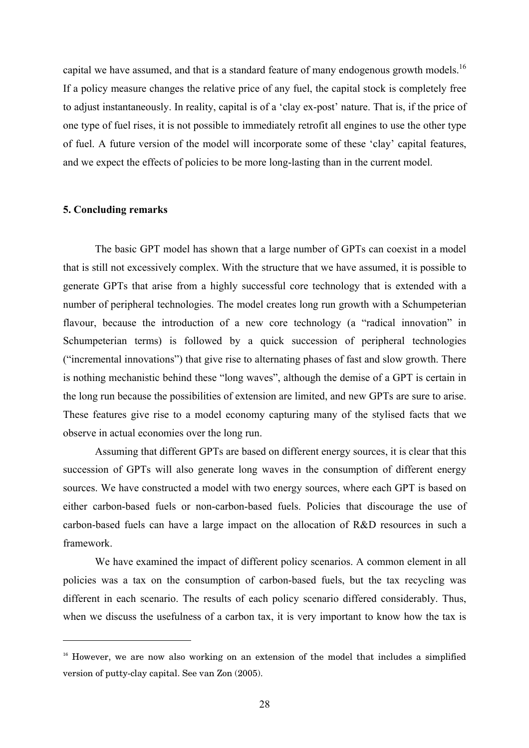capital we have assumed, and that is a standard feature of many endogenous growth models.<sup>16</sup> If a policy measure changes the relative price of any fuel, the capital stock is completely free to adjust instantaneously. In reality, capital is of a 'clay ex-post' nature. That is, if the price of one type of fuel rises, it is not possible to immediately retrofit all engines to use the other type of fuel. A future version of the model will incorporate some of these 'clay' capital features, and we expect the effects of policies to be more long-lasting than in the current model.

## **5. Concluding remarks**

 $\overline{a}$ 

The basic GPT model has shown that a large number of GPTs can coexist in a model that is still not excessively complex. With the structure that we have assumed, it is possible to generate GPTs that arise from a highly successful core technology that is extended with a number of peripheral technologies. The model creates long run growth with a Schumpeterian flavour, because the introduction of a new core technology (a "radical innovation" in Schumpeterian terms) is followed by a quick succession of peripheral technologies ("incremental innovations") that give rise to alternating phases of fast and slow growth. There is nothing mechanistic behind these "long waves", although the demise of a GPT is certain in the long run because the possibilities of extension are limited, and new GPTs are sure to arise. These features give rise to a model economy capturing many of the stylised facts that we observe in actual economies over the long run.

Assuming that different GPTs are based on different energy sources, it is clear that this succession of GPTs will also generate long waves in the consumption of different energy sources. We have constructed a model with two energy sources, where each GPT is based on either carbon-based fuels or non-carbon-based fuels. Policies that discourage the use of carbon-based fuels can have a large impact on the allocation of R&D resources in such a framework.

We have examined the impact of different policy scenarios. A common element in all policies was a tax on the consumption of carbon-based fuels, but the tax recycling was different in each scenario. The results of each policy scenario differed considerably. Thus, when we discuss the usefulness of a carbon tax, it is very important to know how the tax is

<sup>&</sup>lt;sup>16</sup> However, we are now also working on an extension of the model that includes a simplified version of putty-clay capital. See van Zon (2005).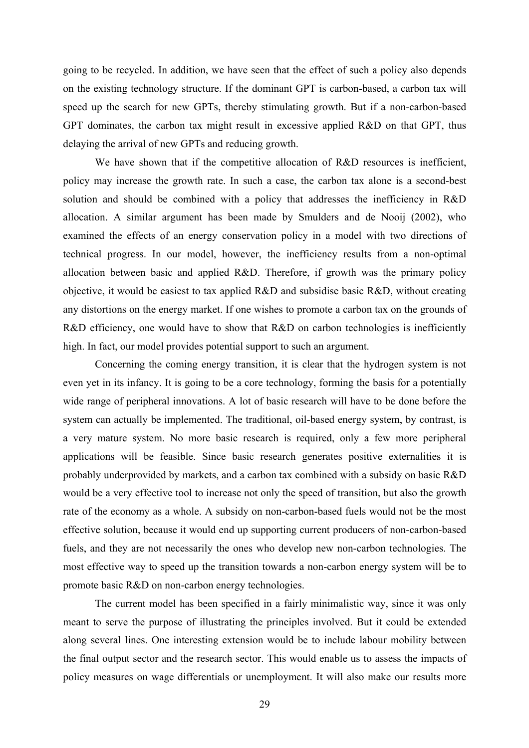going to be recycled. In addition, we have seen that the effect of such a policy also depends on the existing technology structure. If the dominant GPT is carbon-based, a carbon tax will speed up the search for new GPTs, thereby stimulating growth. But if a non-carbon-based GPT dominates, the carbon tax might result in excessive applied R&D on that GPT, thus delaying the arrival of new GPTs and reducing growth.

We have shown that if the competitive allocation of R&D resources is inefficient, policy may increase the growth rate. In such a case, the carbon tax alone is a second-best solution and should be combined with a policy that addresses the inefficiency in R&D allocation. A similar argument has been made by Smulders and de Nooij (2002), who examined the effects of an energy conservation policy in a model with two directions of technical progress. In our model, however, the inefficiency results from a non-optimal allocation between basic and applied R&D. Therefore, if growth was the primary policy objective, it would be easiest to tax applied R&D and subsidise basic R&D, without creating any distortions on the energy market. If one wishes to promote a carbon tax on the grounds of R&D efficiency, one would have to show that R&D on carbon technologies is inefficiently high. In fact, our model provides potential support to such an argument.

Concerning the coming energy transition, it is clear that the hydrogen system is not even yet in its infancy. It is going to be a core technology, forming the basis for a potentially wide range of peripheral innovations. A lot of basic research will have to be done before the system can actually be implemented. The traditional, oil-based energy system, by contrast, is a very mature system. No more basic research is required, only a few more peripheral applications will be feasible. Since basic research generates positive externalities it is probably underprovided by markets, and a carbon tax combined with a subsidy on basic R&D would be a very effective tool to increase not only the speed of transition, but also the growth rate of the economy as a whole. A subsidy on non-carbon-based fuels would not be the most effective solution, because it would end up supporting current producers of non-carbon-based fuels, and they are not necessarily the ones who develop new non-carbon technologies. The most effective way to speed up the transition towards a non-carbon energy system will be to promote basic R&D on non-carbon energy technologies.

The current model has been specified in a fairly minimalistic way, since it was only meant to serve the purpose of illustrating the principles involved. But it could be extended along several lines. One interesting extension would be to include labour mobility between the final output sector and the research sector. This would enable us to assess the impacts of policy measures on wage differentials or unemployment. It will also make our results more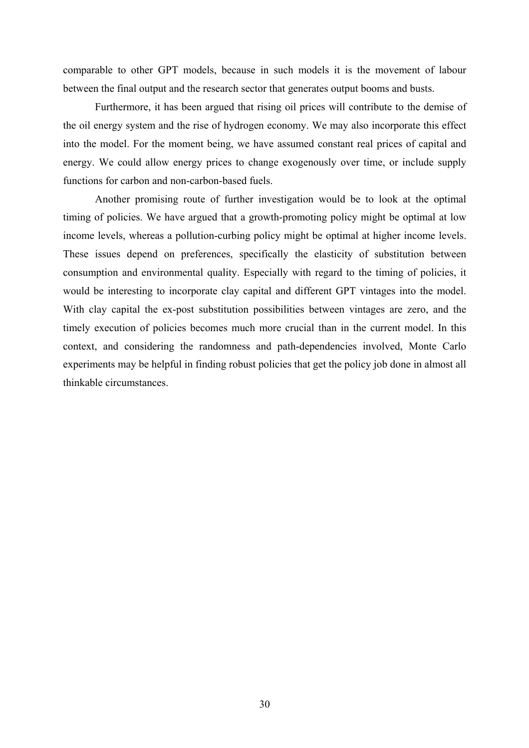comparable to other GPT models, because in such models it is the movement of labour between the final output and the research sector that generates output booms and busts.

Furthermore, it has been argued that rising oil prices will contribute to the demise of the oil energy system and the rise of hydrogen economy. We may also incorporate this effect into the model. For the moment being, we have assumed constant real prices of capital and energy. We could allow energy prices to change exogenously over time, or include supply functions for carbon and non-carbon-based fuels.

Another promising route of further investigation would be to look at the optimal timing of policies. We have argued that a growth-promoting policy might be optimal at low income levels, whereas a pollution-curbing policy might be optimal at higher income levels. These issues depend on preferences, specifically the elasticity of substitution between consumption and environmental quality. Especially with regard to the timing of policies, it would be interesting to incorporate clay capital and different GPT vintages into the model. With clay capital the ex-post substitution possibilities between vintages are zero, and the timely execution of policies becomes much more crucial than in the current model. In this context, and considering the randomness and path-dependencies involved, Monte Carlo experiments may be helpful in finding robust policies that get the policy job done in almost all thinkable circumstances.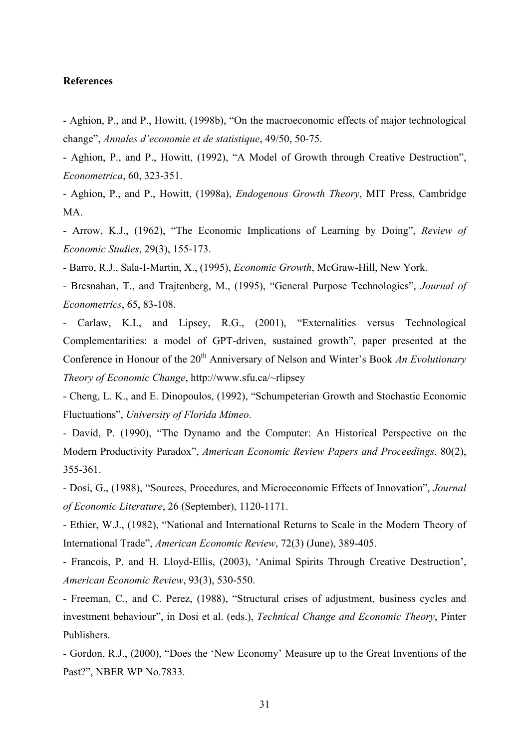# **References**

- Aghion, P., and P., Howitt, (1998b), "On the macroeconomic effects of major technological change", *Annales d'economie et de statistique*, 49/50, 50-75.

- Aghion, P., and P., Howitt, (1992), "A Model of Growth through Creative Destruction", *Econometrica*, 60, 323-351.

- Aghion, P., and P., Howitt, (1998a), *Endogenous Growth Theory*, MIT Press, Cambridge MA.

- Arrow, K.J., (1962), "The Economic Implications of Learning by Doing", *Review of Economic Studies*, 29(3), 155-173.

- Barro, R.J., Sala-I-Martin, X., (1995), *Economic Growth*, McGraw-Hill, New York.

- Bresnahan, T., and Trajtenberg, M., (1995), "General Purpose Technologies", *Journal of Econometrics*, 65, 83-108.

- Carlaw, K.I., and Lipsey, R.G., (2001), "Externalities versus Technological Complementarities: a model of GPT-driven, sustained growth", paper presented at the Conference in Honour of the 20<sup>th</sup> Anniversary of Nelson and Winter's Book *An Evolutionary Theory of Economic Change*, http://www.sfu.ca/~rlipsey

- Cheng, L. K., and E. Dinopoulos, (1992), "Schumpeterian Growth and Stochastic Economic Fluctuations", *University of Florida Mimeo*.

- David, P. (1990), "The Dynamo and the Computer: An Historical Perspective on the Modern Productivity Paradox", *American Economic Review Papers and Proceedings*, 80(2), 355-361.

- Dosi, G., (1988), "Sources, Procedures, and Microeconomic Effects of Innovation", *Journal of Economic Literature*, 26 (September), 1120-1171.

- Ethier, W.J., (1982), "National and International Returns to Scale in the Modern Theory of International Trade", *American Economic Review*, 72(3) (June), 389-405.

- Francois, P. and H. Lloyd-Ellis, (2003), 'Animal Spirits Through Creative Destruction', *American Economic Review*, 93(3), 530-550.

- Freeman, C., and C. Perez, (1988), "Structural crises of adjustment, business cycles and investment behaviour", in Dosi et al. (eds.), *Technical Change and Economic Theory*, Pinter Publishers.

- Gordon, R.J., (2000), "Does the 'New Economy' Measure up to the Great Inventions of the Past?", NBER WP No.7833.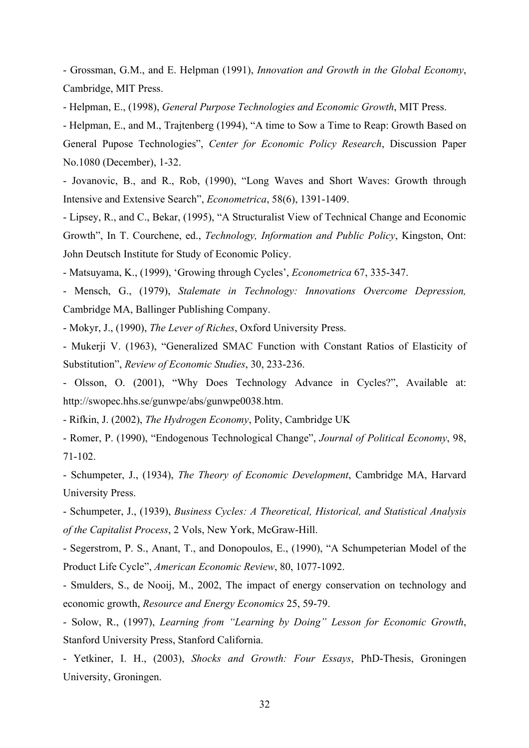- Grossman, G.M., and E. Helpman (1991), *Innovation and Growth in the Global Economy*, Cambridge, MIT Press.

- Helpman, E., (1998), *General Purpose Technologies and Economic Growth*, MIT Press.

- Helpman, E., and M., Trajtenberg (1994), "A time to Sow a Time to Reap: Growth Based on General Pupose Technologies", *Center for Economic Policy Research*, Discussion Paper No.1080 (December), 1-32.

- Jovanovic, B., and R., Rob, (1990), "Long Waves and Short Waves: Growth through Intensive and Extensive Search", *Econometrica*, 58(6), 1391-1409.

- Lipsey, R., and C., Bekar, (1995), "A Structuralist View of Technical Change and Economic Growth", In T. Courchene, ed., *Technology, Information and Public Policy*, Kingston, Ont: John Deutsch Institute for Study of Economic Policy.

- Matsuyama, K., (1999), 'Growing through Cycles', *Econometrica* 67, 335-347.

- Mensch, G., (1979), *Stalemate in Technology: Innovations Overcome Depression,*  Cambridge MA, Ballinger Publishing Company.

- Mokyr, J., (1990), *The Lever of Riches*, Oxford University Press.

- Mukerji V. (1963), "Generalized SMAC Function with Constant Ratios of Elasticity of Substitution", *Review of Economic Studies*, 30, 233-236.

- Olsson, O. (2001), "Why Does Technology Advance in Cycles?", Available at: http://swopec.hhs.se/gunwpe/abs/gunwpe0038.htm.

- Rifkin, J. (2002), *The Hydrogen Economy*, Polity, Cambridge UK

- Romer, P. (1990), "Endogenous Technological Change", *Journal of Political Economy*, 98, 71-102.

- Schumpeter, J., (1934), *The Theory of Economic Development*, Cambridge MA, Harvard University Press.

- Schumpeter, J., (1939), *Business Cycles: A Theoretical, Historical, and Statistical Analysis of the Capitalist Process*, 2 Vols, New York, McGraw-Hill.

- Segerstrom, P. S., Anant, T., and Donopoulos, E., (1990), "A Schumpeterian Model of the Product Life Cycle", *American Economic Review*, 80, 1077-1092.

- Smulders, S., de Nooij, M., 2002, The impact of energy conservation on technology and economic growth, *Resource and Energy Economics* 25, 59-79.

- Solow, R., (1997), *Learning from "Learning by Doing" Lesson for Economic Growth*, Stanford University Press, Stanford California.

- Yetkiner, I. H., (2003), *Shocks and Growth: Four Essays*, PhD-Thesis, Groningen University, Groningen.